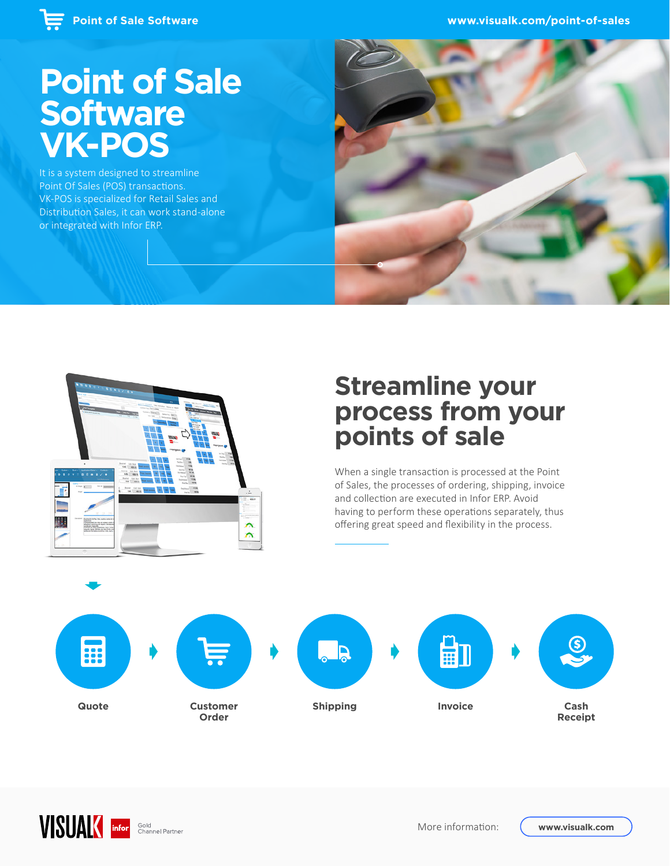## **Point of Sale Software VK-POS**

It is a system designed to streamline Point Of Sales (POS) transactions. VK-POS is specialized for Retail Sales and Distribution Sales, it can work stand-alone or integrated with Infor ERP.



### **Streamline your process from your points of sale**

When a single transaction is processed at the Point of Sales, the processes of ordering, shipping, invoice and collection are executed in Infor ERP. Avoid having to perform these operations separately, thus offering great speed and flexibility in the process.



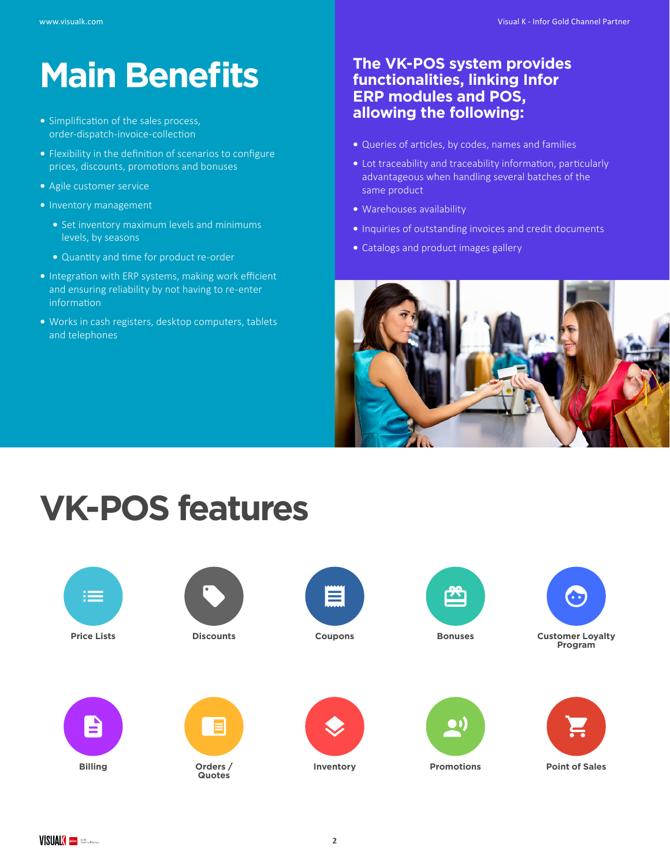# **Main Benefits**

- **•** Simplification of the sales process, order-dispatch-invoice-collection
- **•** Flexibility in the definition of scenarios to configure prices, discounts, promotions and bonuses
- **•** Agile customer service
- **•** Inventory management
	- **•** Set inventory maximum levels and minimums levels, by seasons
	- **•** Quantity and time for product re-order
- **•** Integration with ERP systems, making work efficient and ensuring reliability by not having to re-enter information
- **•** Works in cash registers, desktop computers, tablets and telephones

#### **The VK-POS system provides functionalities, linking Infor ERP modules and POS, allowing the following:**

- **•** Queries of articles, by codes, names and families
- **•** Lot traceability and traceability information, particularly advantageous when handling several batches of the same product
- **•** Warehouses availability
- **•** Inquiries of outstanding invoices and credit documents
- **•** Catalogs and product images gallery



# **VK-POS features**

















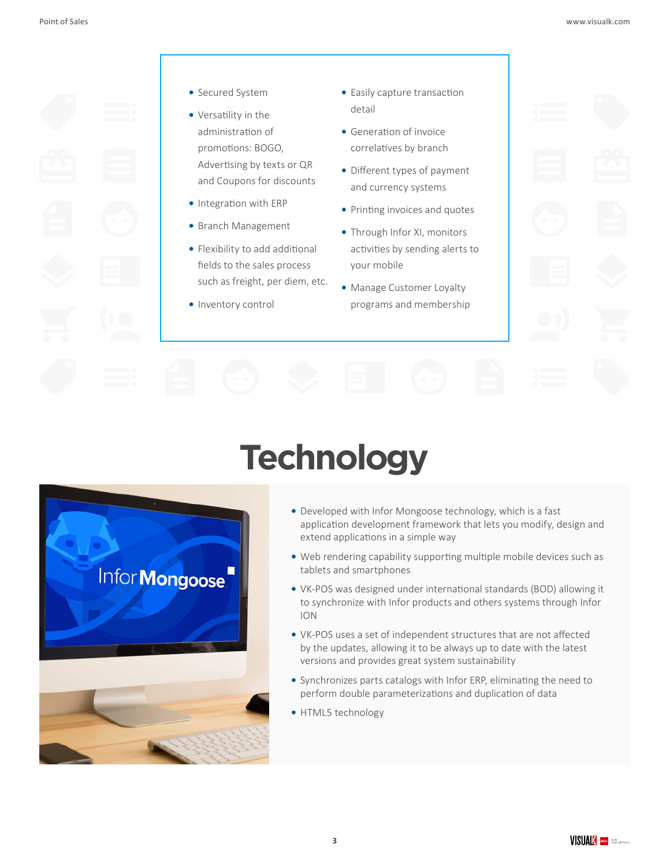

- **•** Secured System
- **•** Versatility in the administration of promotions: BOGO, Advertising by texts or QR and Coupons for discounts
- **•** Integration with ERP
- **•** Branch Management
- **•** Flexibility to add additional fields to the sales process such as freight, per diem, etc.
- **•** Inventory control
- **•** Easily capture transaction detail
- **•** Generation of invoice correlatives by branch
- **•** Different types of payment and currency systems
- **•** Printing invoices and quotes
- **•** Through Infor XI, monitors activities by sending alerts to your mobile
- **•** Manage Customer Loyalty programs and membership

# **Technology**



- **•** Developed with Infor Mongoose technology, which is a fast application development framework that lets you modify, design and extend applications in a simple way
- **•** Web rendering capability supporting multiple mobile devices such as tablets and smartphones
- **•** VK-POS was designed under international standards (BOD) allowing it to synchronize with Infor products and others systems through Infor ION
- **•** VK-POS uses a set of independent structures that are not affected by the updates, allowing it to be always up to date with the latest versions and provides great system sustainability
- **•** Synchronizes parts catalogs with Infor ERP, eliminating the need to perform double parameterizations and duplication of data
- **•** HTML5 technology